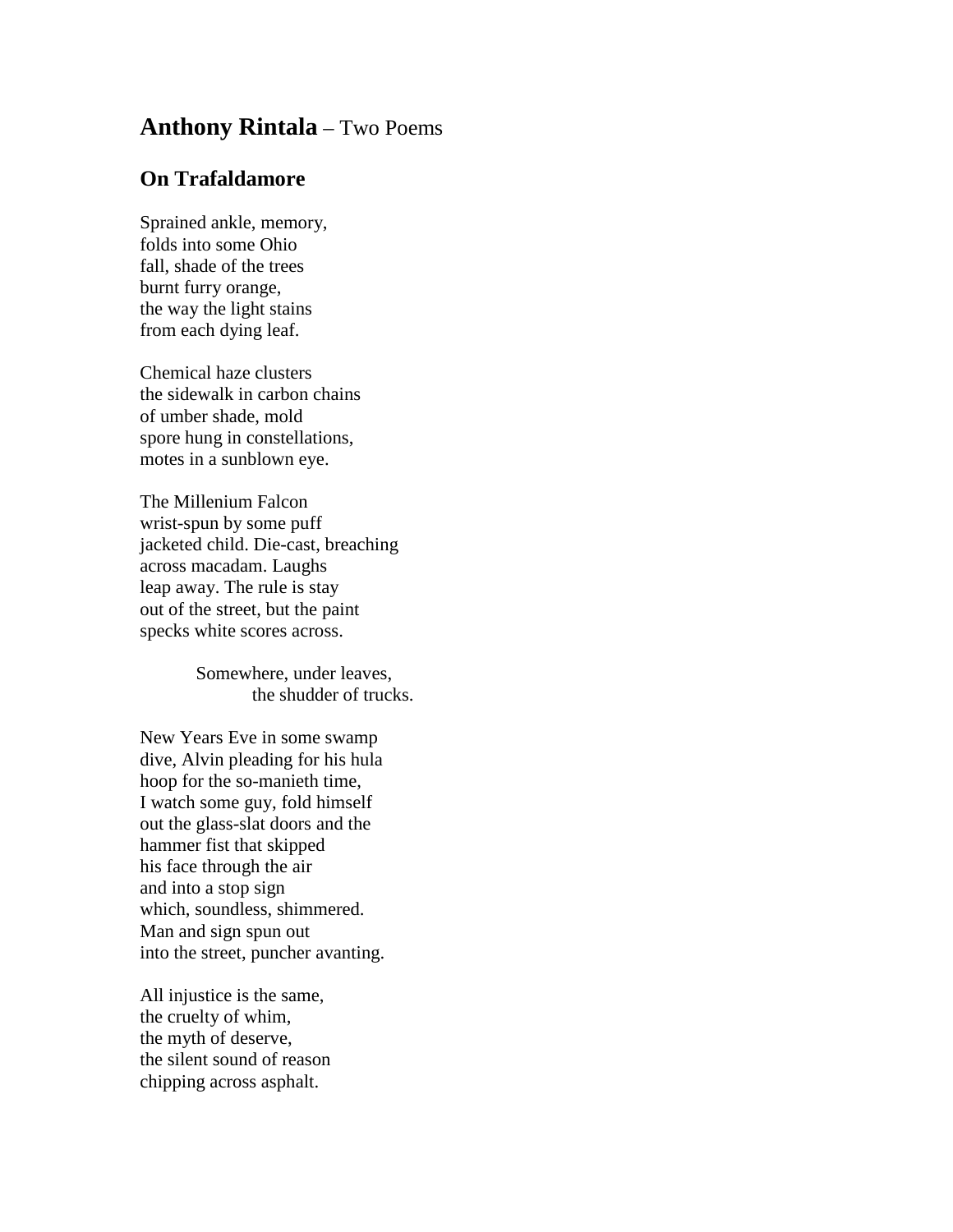## **Anthony Rintala** – Two Poems

## **On Trafaldamore**

Sprained ankle, memory, folds into some Ohio fall, shade of the trees burnt furry orange, the way the light stains from each dying leaf.

Chemical haze clusters the sidewalk in carbon chains of umber shade, mold spore hung in constellations, motes in a sunblown eye.

The Millenium Falcon wrist-spun by some puff jacketed child. Die-cast, breaching across macadam. Laughs leap away. The rule is stay out of the street, but the paint specks white scores across.

> Somewhere, under leaves, the shudder of trucks.

New Years Eve in some swamp dive, Alvin pleading for his hula hoop for the so-manieth time, I watch some guy, fold himself out the glass-slat doors and the hammer fist that skipped his face through the air and into a stop sign which, soundless, shimmered. Man and sign spun out into the street, puncher avanting.

All injustice is the same, the cruelty of whim, the myth of deserve, the silent sound of reason chipping across asphalt.